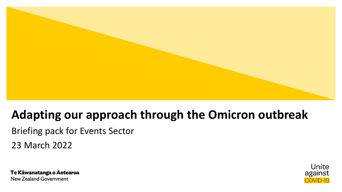

# **Adapting our approach through the Omicron outbreak**

Briefing pack for Events Sector 23 March 2022

Te Kāwanatanga o Aotearoa **New Zealand Government** 

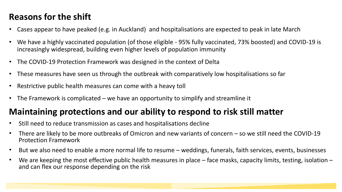## **Reasons for the shift**

- Cases appear to have peaked (e.g. in Auckland) and hospitalisations are expected to peak in late March
- We have a highly vaccinated population (of those eligible 95% fully vaccinated, 73% boosted) and COVID-19 is increasingly widespread, building even higher levels of population immunity
- The COVID-19 Protection Framework was designed in the context of Delta
- These measures have seen us through the outbreak with comparatively low hospitalisations so far
- Restrictive public health measures can come with a heavy toll
- The Framework is complicated  $-\omega$  have an opportunity to simplify and streamline it

### **Maintaining protections and our ability to respond to risk still matter**

- Still need to reduce transmission as cases and hospitalisations decline
- There are likely to be more outbreaks of Omicron and new variants of concern so we still need the COVID-19 Protection Framework
- But we also need to enable a more normal life to resume weddings, funerals, faith services, events, businesses
- We are keeping the most effective public health measures in place  $-$  face masks, capacity limits, testing, isolation  $$ and can flex our response depending on the risk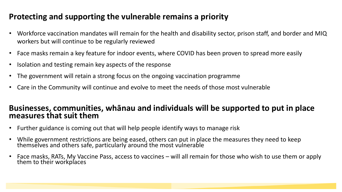### **Protecting and supporting the vulnerable remains a priority**

- Workforce vaccination mandates will remain for the health and disability sector, prison staff, and border and MIQ workers but will continue to be regularly reviewed
- Face masks remain a key feature for indoor events, where COVID has been proven to spread more easily
- Isolation and testing remain key aspects of the response
- The government will retain a strong focus on the ongoing vaccination programme
- Care in the Community will continue and evolve to meet the needs of those most vulnerable

#### **Businesses, communities, whānau and individuals will be supported to put in place measures that suit them**

- Further guidance is coming out that will help people identify ways to manage risk
- While government restrictions are being eased, others can put in place the measures they need to keep themselves and others safe, particularly around the most vulnerable
- Face masks, RATs, My Vaccine Pass, access to vaccines will all remain for those who wish to use them or apply them to their workplaces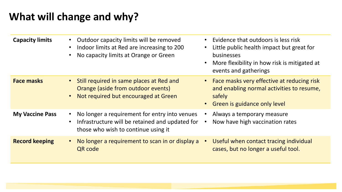# **What will change and why?**

| <b>Capacity limits</b> | Outdoor capacity limits will be removed<br>Indoor limits at Red are increasing to 200<br>No capacity limits at Orange or Green          | Evidence that outdoors is less risk<br>Little public health impact but great for<br>$\bullet$<br>businesses<br>More flexibility in how risk is mitigated at<br>$\bullet$<br>events and gatherings |
|------------------------|-----------------------------------------------------------------------------------------------------------------------------------------|---------------------------------------------------------------------------------------------------------------------------------------------------------------------------------------------------|
| <b>Face masks</b>      | • Still required in same places at Red and<br>Orange (aside from outdoor events)<br>Not required but encouraged at Green                | • Face masks very effective at reducing risk<br>and enabling normal activities to resume,<br>safely<br>Green is guidance only level<br>$\bullet$                                                  |
| <b>My Vaccine Pass</b> | No longer a requirement for entry into venues<br>Infrastructure will be retained and updated for<br>those who wish to continue using it | Always a temporary measure<br>Now have high vaccination rates                                                                                                                                     |
| <b>Record keeping</b>  | No longer a requirement to scan in or display a<br>QR code                                                                              | Useful when contact tracing individual<br>$\bullet$<br>cases, but no longer a useful tool.                                                                                                        |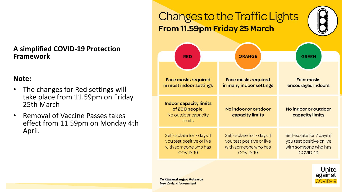#### **A simplified COVID-19 Protection Framework**

#### **Note:**

- The changes for Red settings will take place from 11.59pm on Friday 25th March
- Removal of Vaccine Passes takes effect from 11.59pm on Monday 4th April.

#### **Changes to the Traffic Lights** From 11.59pm Friday 25 March **ORANGE RED GREEN Face masks required Face masks required Face masks** in most indoor settings in many indoor settings encouraged indoors **Indoor capacity limits** No indoor or outdoor of 200 people. No indoor or outdoor No outdoor capacity capacity limits capacity limits limits Self-isolate for 7 days if Self-isolate for 7 days if Self-isolate for 7 days if you test positive or live you test positive or live you test positive or live with someone who has with someone who has with someone who has COVID-19 COVID-19 COVID-19



Te Kāwanatanga o Aotearoa **New Zealand Government**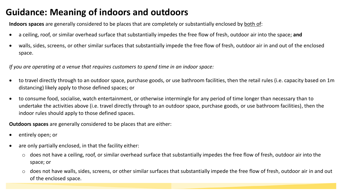### **Guidance: Meaning of indoors and outdoors**

**Indoors spaces** are generally considered to be places that are completely or substantially enclosed by both of:

- a ceiling, roof, or similar overhead surface that substantially impedes the free flow of fresh, outdoor air into the space; **and**
- walls, sides, screens, or other similar surfaces that substantially impede the free flow of fresh, outdoor air in and out of the enclosed space.

*If you are operating at a venue that requires customers to spend time in an indoor space:*

- to travel directly through to an outdoor space, purchase goods, or use bathroom facilities, then the retail rules (i.e. capacity based on 1m distancing) likely apply to those defined spaces; or
- to consume food, socialise, watch entertainment, or otherwise intermingle for any period of time longer than necessary than to undertake the activities above (i.e. travel directly through to an outdoor space, purchase goods, or use bathroom facilities), then the indoor rules should apply to those defined spaces.

**Outdoors spaces** are generally considered to be places that are either:

- entirely open; or
- are only partially enclosed, in that the facility either:
	- $\circ$  does not have a ceiling, roof, or similar overhead surface that substantially impedes the free flow of fresh, outdoor air into the space; or
	- o does not have walls, sides, screens, or other similar surfaces that substantially impede the free flow of fresh, outdoor air in and out of the enclosed space.